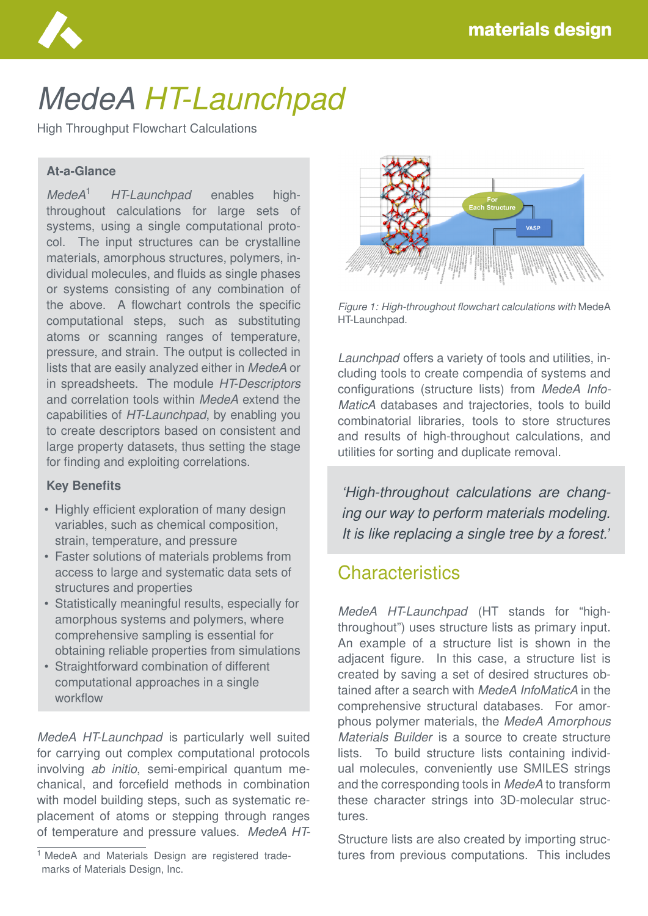

# *MedeA HT-Launchpad*

High Throughput Flowchart Calculations

#### **At-a-Glance**

*MedeA*<sup>1</sup> *HT-Launchpad* enables highthroughout calculations for large sets of systems, using a single computational protocol. The input structures can be crystalline materials, amorphous structures, polymers, individual molecules, and fluids as single phases or systems consisting of any combination of the above. A flowchart controls the specific computational steps, such as substituting atoms or scanning ranges of temperature, pressure, and strain. The output is collected in lists that are easily analyzed either in *MedeA* or in spreadsheets. The module *HT-Descriptors* and correlation tools within *MedeA* extend the capabilities of *HT-Launchpad*, by enabling you to create descriptors based on consistent and large property datasets, thus setting the stage for finding and exploiting correlations.

#### **Key Benefits**

- Highly efficient exploration of many design variables, such as chemical composition, strain, temperature, and pressure
- Faster solutions of materials problems from access to large and systematic data sets of structures and properties
- Statistically meaningful results, especially for amorphous systems and polymers, where comprehensive sampling is essential for obtaining reliable properties from simulations
- Straightforward combination of different computational approaches in a single workflow

*MedeA HT-Launchpad* is particularly well suited for carrying out complex computational protocols involving *ab initio*, semi-empirical quantum mechanical, and forcefield methods in combination with model building steps, such as systematic replacement of atoms or stepping through ranges of temperature and pressure values. *MedeA HT-*



*Figure 1: High-throughout flowchart calculations with* MedeA HT-Launchpad*.*

*Launchpad* offers a variety of tools and utilities, including tools to create compendia of systems and configurations (structure lists) from *MedeA Info-MaticA* databases and trajectories, tools to build combinatorial libraries, tools to store structures and results of high-throughout calculations, and utilities for sorting and duplicate removal.

*'High-throughout calculations are changing our way to perform materials modeling. It is like replacing a single tree by a forest.'*

# **Characteristics**

*MedeA HT-Launchpad* (HT stands for "highthroughout") uses structure lists as primary input. An example of a structure list is shown in the adjacent figure. In this case, a structure list is created by saving a set of desired structures obtained after a search with *MedeA InfoMaticA* in the comprehensive structural databases. For amorphous polymer materials, the *MedeA Amorphous Materials Builder* is a source to create structure lists. To build structure lists containing individual molecules, conveniently use SMILES strings and the corresponding tools in *MedeA* to transform these character strings into 3D-molecular structures.

Structure lists are also created by importing structures from previous computations. This includes

<sup>&</sup>lt;sup>1</sup> MedeA and Materials Design are registered trademarks of Materials Design, Inc.